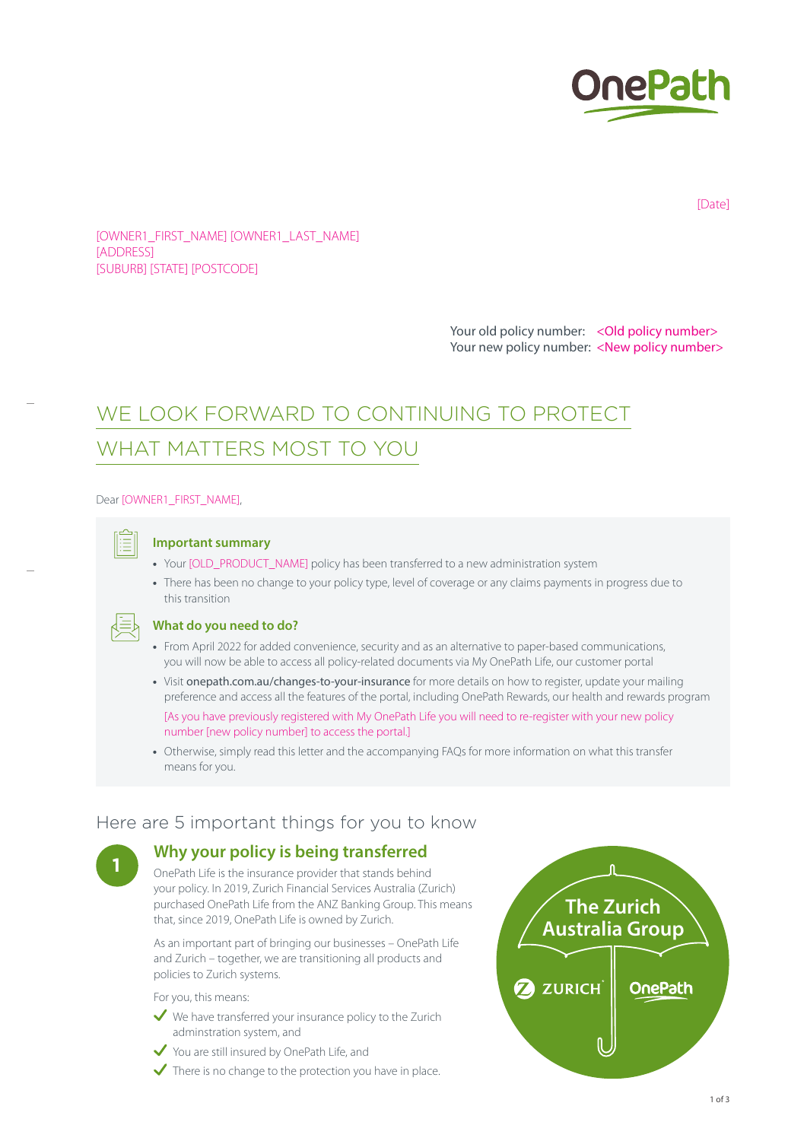

[Date]

[OWNER1\_FIRST\_NAME] [OWNER1\_LAST\_NAME] [ADDRESS] [SUBURB] [STATE] [POSTCODE]

> Your old policy number: < Old policy number> Your new policy number: <New policy number>

# WE LOOK FORWARD TO CONTINUING TO PROTECT WHAT MATTERS MOST TO YOU

Dear [OWNER1\_FIRST\_NAME],



#### **Important summary**

- **•** Your [OLD\_PRODUCT\_NAME] policy has been transferred to a new administration system
- **•** There has been no change to your policy type, level of coverage or any claims payments in progress due to this transition



#### **What do you need to do?**

- **•** From April 2022 for added convenience, security and as an alternative to paper-based communications, you will now be able to access all policy-related documents via My OnePath Life, our customer portal
- **•** Visit [onepath.com.au/changes-to-your-insurance](http://onepath.com.au/changes-to-your-insurance) for more details on how to register, update your mailing preference and access all the features of the portal, including OnePath Rewards, our health and rewards program [As you have previously registered with My OnePath Life you will need to re-register with your new policy number [new policy number] to access the portal.]
- **•** Otherwise, simply read this letter and the accompanying FAQs for more information on what this transfer means for you.

## Here are 5 important things for you to know

### **<sup>1</sup> Why your policy is being transferred**

OnePath Life is the insurance provider that stands behind your policy. In 2019, Zurich Financial Services Australia (Zurich) purchased OnePath Life from the ANZ Banking Group. This means that, since 2019, OnePath Life is owned by Zurich.

As an important part of bringing our businesses – OnePath Life and Zurich – together, we are transitioning all products and policies to Zurich systems.

For you, this means:

- $\vee$  We have transferred your insurance policy to the Zurich adminstration system, and
- You are still insured by OnePath Life, and
- $\checkmark$  There is no change to the protection you have in place.

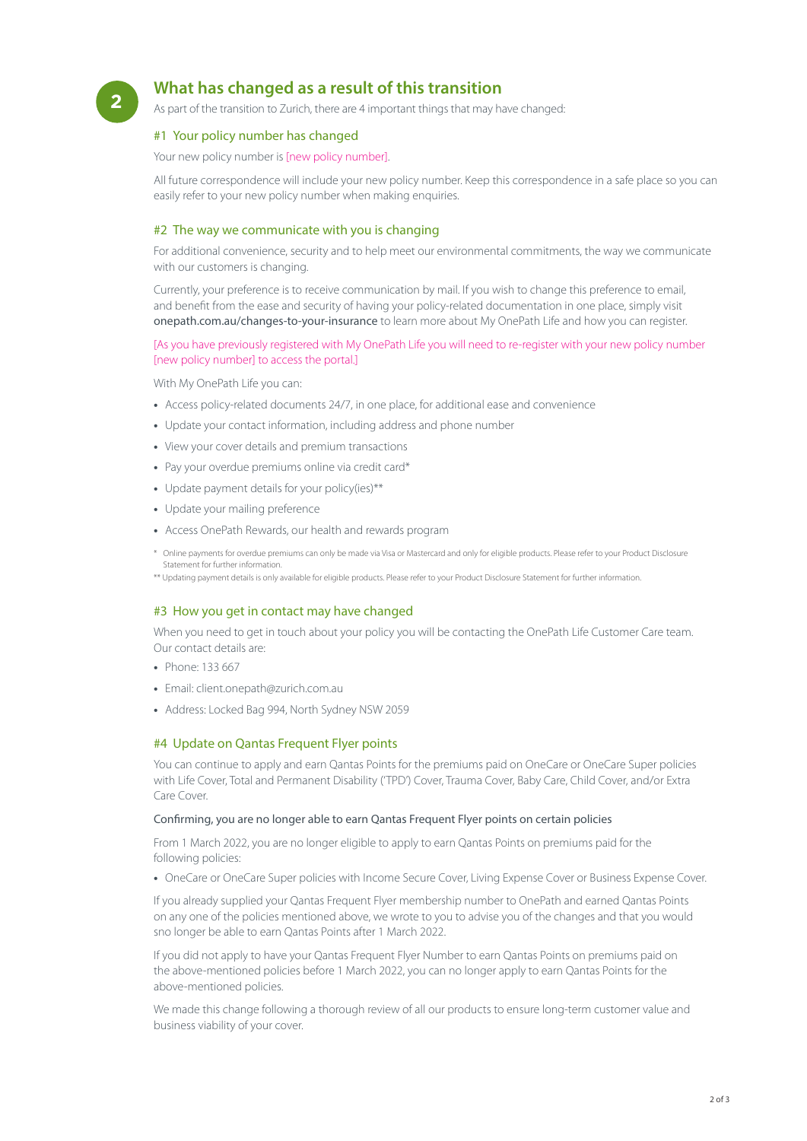## **<sup>2</sup> What has changed as a result of this transition**

As part of the transition to Zurich, there are 4 important things that may have changed:

#### #1 Your policy number has changed

Your new policy number is [new policy number].

All future correspondence will include your new policy number. Keep this correspondence in a safe place so you can easily refer to your new policy number when making enquiries.

#### #2 The way we communicate with you is changing

For additional convenience, security and to help meet our environmental commitments, the way we communicate with our customers is changing.

Currently, your preference is to receive communication by mail. If you wish to change this preference to email, and benefit from the ease and security of having your policy-related documentation in one place, simply visit [onepath.com.au/changes-to-your-insurance](http://onepath.com.au/changes-to-your-insurance) to learn more about My OnePath Life and how you can register.

#### [As you have previously registered with My OnePath Life you will need to re-register with your new policy number [new policy number] to access the portal.]

With My OnePath Life you can:

- **•** Access policy-related documents 24/7, in one place, for additional ease and convenience
- **•** Update your contact information, including address and phone number
- **•** View your cover details and premium transactions
- **•** Pay your overdue premiums online via credit card\*
- **•** Update payment details for your policy(ies)\*\*
- **•** Update your mailing preference
- **•** Access OnePath Rewards, our health and rewards program
- \* Online payments for overdue premiums can only be made via Visa or Mastercard and only for eligible products. Please refer to your Product Disclosure Statement for further information.

\*\* Updating payment details is only available for eligible products. Please refer to your Product Disclosure Statement for further information.

#### #3 How you get in contact may have changed

When you need to get in touch about your policy you will be contacting the OnePath Life Customer Care team. Our contact details are:

- **•** Phone: 133 667
- **•** Email: client.onepath@zurich.com.au
- **•** Address: Locked Bag 994, North Sydney NSW 2059

#### #4 Update on Qantas Frequent Flyer points

You can continue to apply and earn Qantas Points for the premiums paid on OneCare or OneCare Super policies with Life Cover, Total and Permanent Disability ('TPD') Cover, Trauma Cover, Baby Care, Child Cover, and/or Extra Care Cover.

#### Confirming, you are no longer able to earn Qantas Frequent Flyer points on certain policies

From 1 March 2022, you are no longer eligible to apply to earn Qantas Points on premiums paid for the following policies:

**•** OneCare or OneCare Super policies with Income Secure Cover, Living Expense Cover or Business Expense Cover.

If you already supplied your Qantas Frequent Flyer membership number to OnePath and earned Qantas Points on any one of the policies mentioned above, we wrote to you to advise you of the changes and that you would sno longer be able to earn Qantas Points after 1 March 2022.

If you did not apply to have your Qantas Frequent Flyer Number to earn Qantas Points on premiums paid on the above-mentioned policies before 1 March 2022, you can no longer apply to earn Qantas Points for the above-mentioned policies.

We made this change following a thorough review of all our products to ensure long-term customer value and business viability of your cover.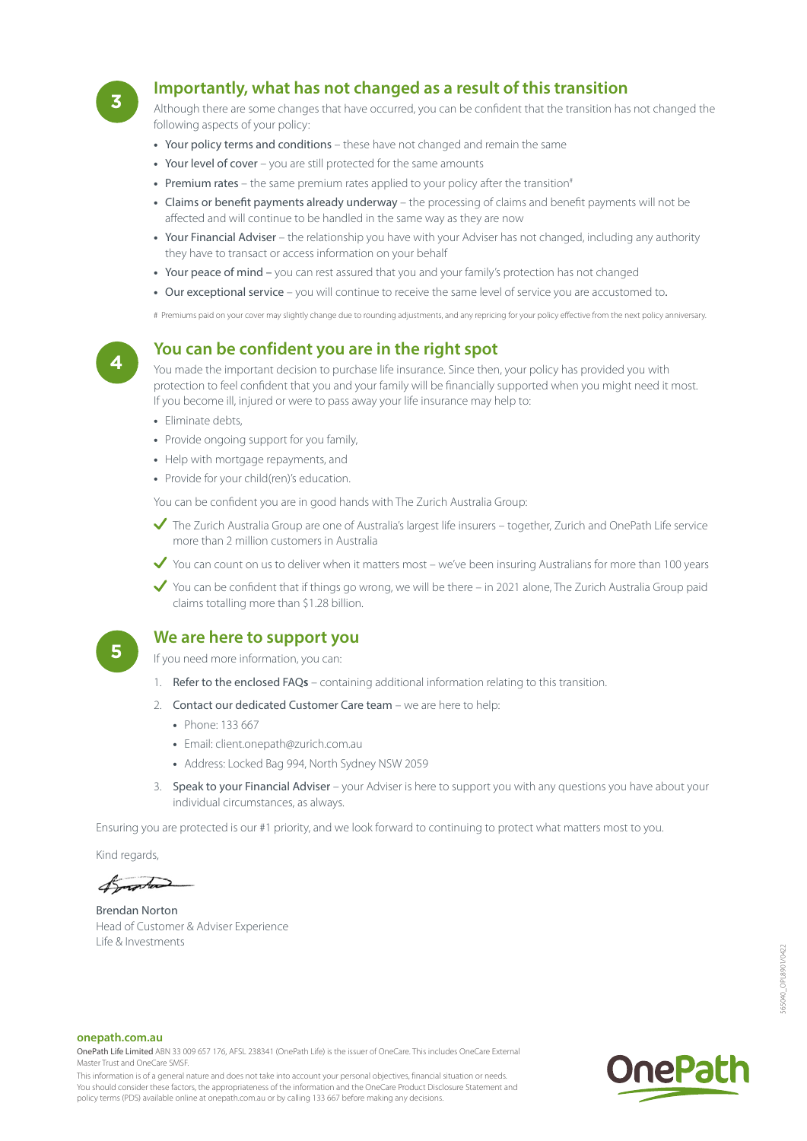

## **<sup>3</sup> Importantly, what has not changed as a result of this transition**

Although there are some changes that have occurred, you can be confident that the transition has not changed the following aspects of your policy:

- **•** Your policy terms and conditions these have not changed and remain the same
- **•** Your level of cover you are still protected for the same amounts
- Premium rates the same premium rates applied to your policy after the transition<sup>#</sup>
- **•** Claims or benefit payments already underway the processing of claims and benefit payments will not be affected and will continue to be handled in the same way as they are now
- **•** Your Financial Adviser the relationship you have with your Adviser has not changed, including any authority they have to transact or access information on your behalf
- **•** Your peace of mind you can rest assured that you and your family's protection has not changed
- **•** Our exceptional service you will continue to receive the same level of service you are accustomed to.

# Premiums paid on your cover may slightly change due to rounding adjustments, and any repricing for your policy effective from the next policy anniversary.

## **<sup>4</sup> You can be confident you are in the right spot**

You made the important decision to purchase life insurance. Since then, your policy has provided you with protection to feel confident that you and your family will be financially supported when you might need it most. If you become ill, injured or were to pass away your life insurance may help to:

- **•** Eliminate debts,
- **•** Provide ongoing support for you family,
- **•** Help with mortgage repayments, and
- **•** Provide for your child(ren)'s education.

You can be confident you are in good hands with The Zurich Australia Group:

- The Zurich Australia Group are one of Australia's largest life insurers together, Zurich and OnePath Life service more than 2 million customers in Australia
- Y you can count on us to deliver when it matters most we've been insuring Australians for more than 100 years
- You can be confident that if things go wrong, we will be there in 2021 alone. The Zurich Australia Group paid claims totalling more than \$1.28 billion.

## **<sup>5</sup> We are here to support you**

If you need more information, you can:

- 1. Refer to the enclosed FAQ**s** containing additional information relating to this transition.
- 2. Contact our dedicated Customer Care team we are here to help:
	- **•** Phone: 133 667
	- **•** Email: client.onepath@zurich.com.au
	- **•** Address: Locked Bag 994, North Sydney NSW 2059
- 3. Speak to your Financial Adviser your Adviser is here to support you with any questions you have about your individual circumstances, as always.

Ensuring you are protected is our #1 priority, and we look forward to continuing to protect what matters most to you.

Kind regards,

Amorta

Brendan Norton Head of Customer & Adviser Experience Life & Investments

#### **onepath.com.au**

OnePath Life Limited ABN 33 009 657 176, AFSL 238341 (OnePath Life) is the issuer of OneCare. This includes OneCare External Master Trust and OneCare SMSF.

This information is of a general nature and does not take into account your personal objectives, financial situation or needs. You should consider these factors, the appropriateness of the information and the OneCare Product Disclosure Statement and policy terms (PDS) available online at onepath.com.au or by calling 133 667 before making any decisions.

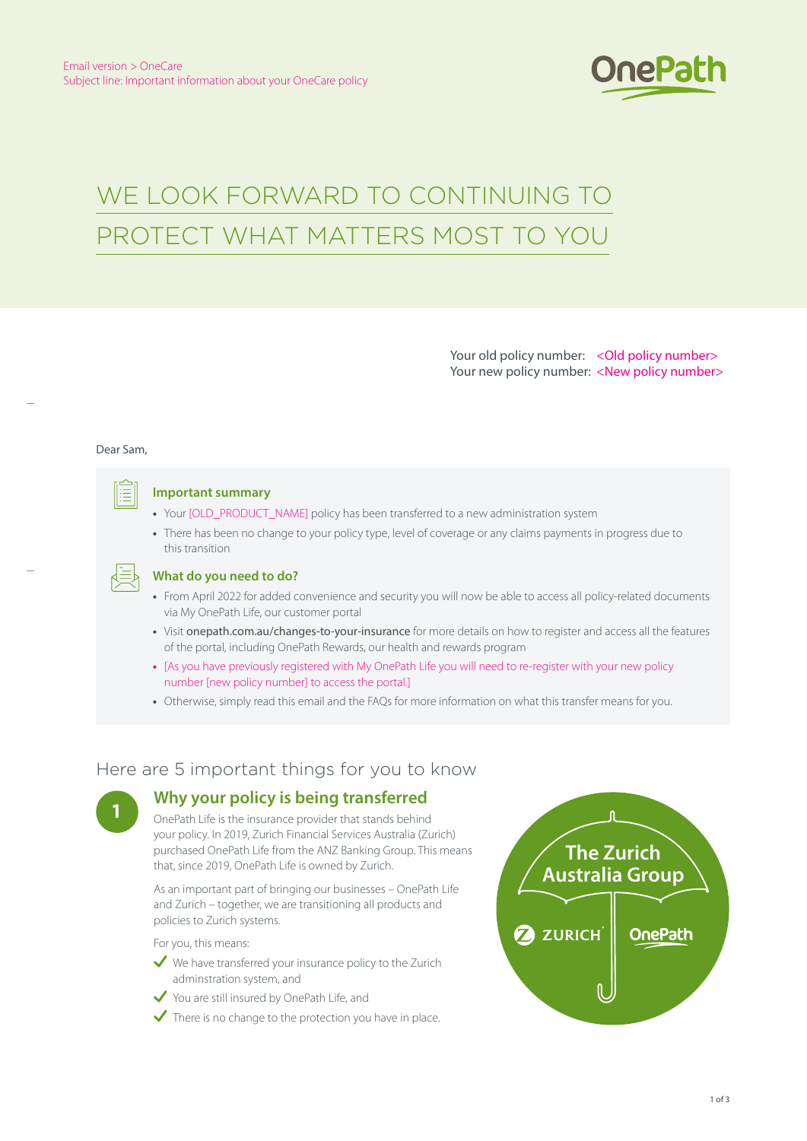

# WE LOOK FORWARD TO CONTINUING TO PROTECT WHAT MATTERS MOST TO YOU

Your old policy number: < Old policy number> Your new policy number: <New policy number>

#### Dear Sam,



#### **Important summary**

- **•** Your [OLD\_PRODUCT\_NAME] policy has been transferred to a new administration system
- **•** There has been no change to your policy type, level of coverage or any claims payments in progress due to this transition

#### **What do you need to do?**

- **•** From April 2022 for added convenience and security you will now be able to access all policy-related documents via My OnePath Life, our customer portal
- **•** Visit [onepath.com.au/changes-to-your-insurance](http://onepath.com.au/changes-to-your-insurance) for more details on how to register and access all the features of the portal, including OnePath Rewards, our health and rewards program
- **•** [As you have previously registered with My OnePath Life you will need to re-register with your new policy number [new policy number] to access the portal.]
- **•** Otherwise, simply read this email and the FAQs for more information on what this transfer means for you.

## Here are 5 important things for you to know

## **<sup>1</sup> Why your policy is being transferred**

OnePath Life is the insurance provider that stands behind your policy. In 2019, Zurich Financial Services Australia (Zurich) purchased OnePath Life from the ANZ Banking Group. This means that, since 2019, OnePath Life is owned by Zurich.

As an important part of bringing our businesses – OnePath Life and Zurich – together, we are transitioning all products and policies to Zurich systems.

For you, this means:

- $\vee$  We have transferred your insurance policy to the Zurich adminstration system, and
- You are still insured by OnePath Life, and
- $\checkmark$  There is no change to the protection you have in place.

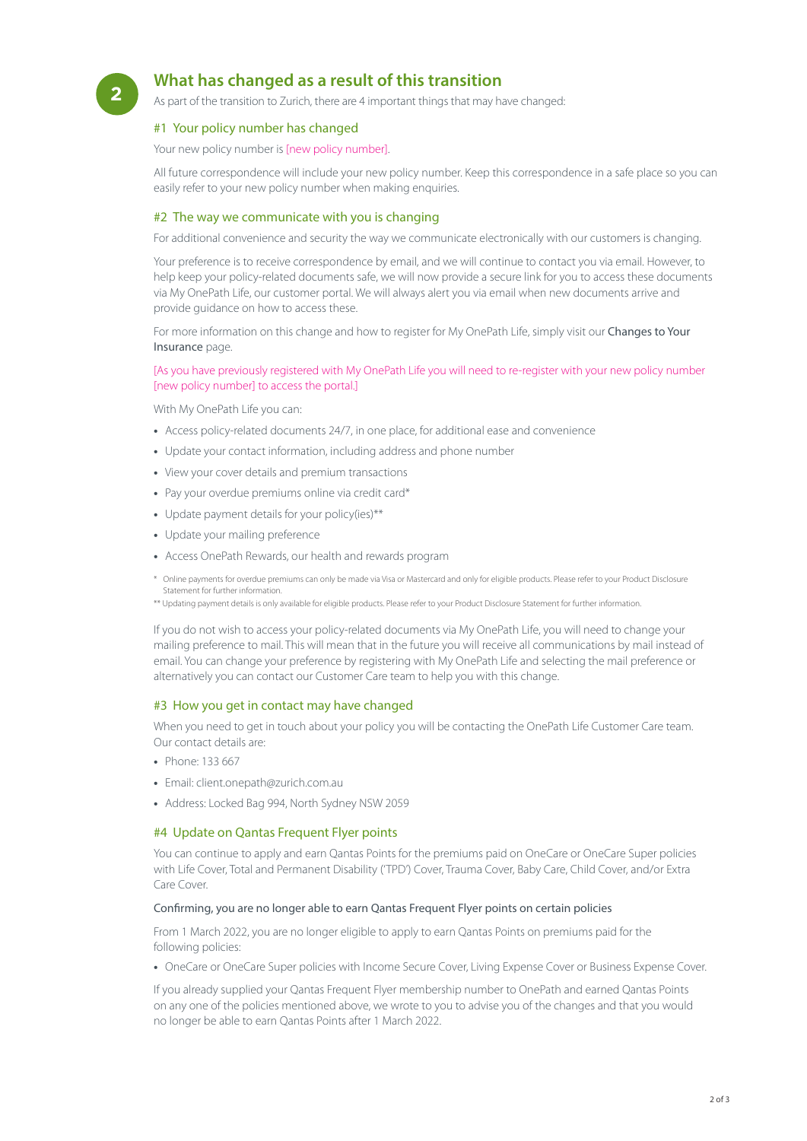## **<sup>2</sup> What has changed as a result of this transition**

As part of the transition to Zurich, there are 4 important things that may have changed:

#### #1 Your policy number has changed

Your new policy number is [new policy number].

All future correspondence will include your new policy number. Keep this correspondence in a safe place so you can easily refer to your new policy number when making enquiries.

#### #2 The way we communicate with you is changing

For additional convenience and security the way we communicate electronically with our customers is changing.

Your preference is to receive correspondence by email, and we will continue to contact you via email. However, to help keep your policy-related documents safe, we will now provide a secure link for you to access these documents via My OnePath Life, our customer portal. We will always alert you via email when new documents arrive and provide guidance on how to access these.

For more information on this change and how to register for My OnePath Life, simply visit our Changes to Your [Insurance](http://onepath.com.au/changes-to-your-insurance) page.

#### [As you have previously registered with My OnePath Life you will need to re-register with your new policy number [new policy number] to access the portal.]

With My OnePath Life you can:

- **•** Access policy-related documents 24/7, in one place, for additional ease and convenience
- **•** Update your contact information, including address and phone number
- **•** View your cover details and premium transactions
- **•** Pay your overdue premiums online via credit card\*
- **•** Update payment details for your policy(ies)\*\*
- **•** Update your mailing preference
- **•** Access OnePath Rewards, our health and rewards program
- \* Online payments for overdue premiums can only be made via Visa or Mastercard and only for eligible products. Please refer to your Product Disclosure Statement for further information.

\*\* Updating payment details is only available for eligible products. Please refer to your Product Disclosure Statement for further information.

If you do not wish to access your policy-related documents via My OnePath Life, you will need to change your mailing preference to mail. This will mean that in the future you will receive all communications by mail instead of email. You can change your preference by registering with My OnePath Life and selecting the mail preference or alternatively you can contact our Customer Care team to help you with this change.

#### #3 How you get in contact may have changed

When you need to get in touch about your policy you will be contacting the OnePath Life Customer Care team. Our contact details are:

- **•** Phone: 133 667
- **•** Email: client.onepath@zurich.com.au
- **•** Address: Locked Bag 994, North Sydney NSW 2059

#### #4 Update on Qantas Frequent Flyer points

You can continue to apply and earn Qantas Points for the premiums paid on OneCare or OneCare Super policies with Life Cover, Total and Permanent Disability ('TPD') Cover, Trauma Cover, Baby Care, Child Cover, and/or Extra Care Cover.

#### Confirming, you are no longer able to earn Qantas Frequent Flyer points on certain policies

From 1 March 2022, you are no longer eligible to apply to earn Qantas Points on premiums paid for the following policies:

**•** OneCare or OneCare Super policies with Income Secure Cover, Living Expense Cover or Business Expense Cover.

If you already supplied your Qantas Frequent Flyer membership number to OnePath and earned Qantas Points on any one of the policies mentioned above, we wrote to you to advise you of the changes and that you would no longer be able to earn Qantas Points after 1 March 2022.